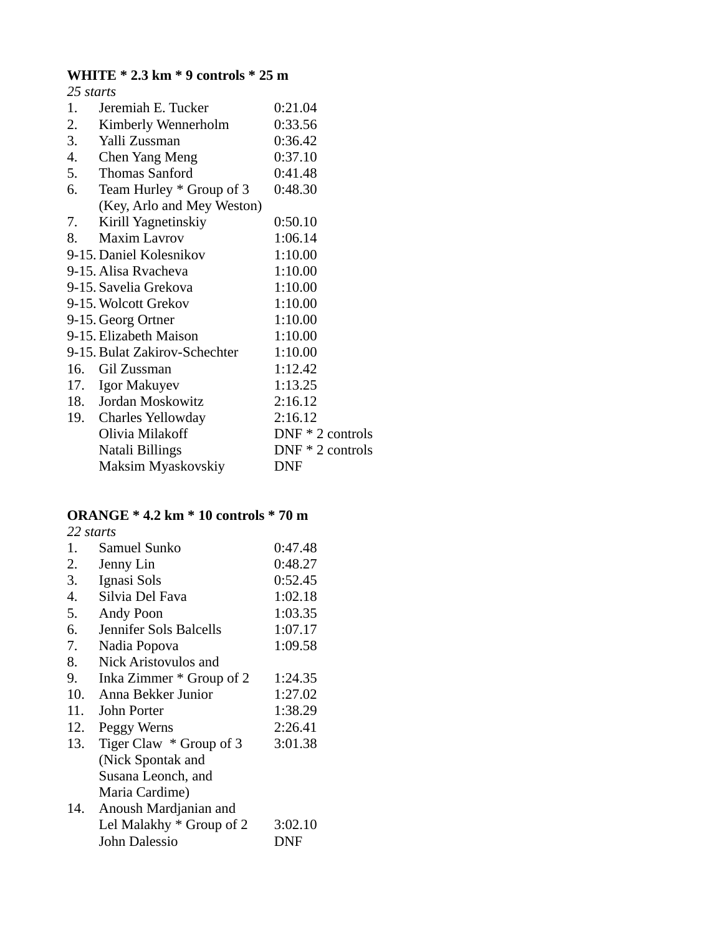# **WHITE \* 2.3 km \* 9 controls \* 25 m**

| 25 starts |                               |                    |
|-----------|-------------------------------|--------------------|
| 1.        | Jeremiah E. Tucker            | 0:21.04            |
| 2.        | Kimberly Wennerholm           | 0:33.56            |
|           | 3. Yalli Zussman              | 0:36.42            |
|           | 4. Chen Yang Meng             | 0:37.10            |
|           | 5. Thomas Sanford             | 0:41.48            |
|           | 6. Team Hurley * Group of 3   | 0:48.30            |
|           | (Key, Arlo and Mey Weston)    |                    |
| 7.        | Kirill Yagnetinskiy           | 0:50.10            |
| 8.        | <b>Maxim Lavrov</b>           | 1:06.14            |
|           | 9-15. Daniel Kolesnikov       | 1:10.00            |
|           | 9-15. Alisa Ryacheva          | 1:10.00            |
|           | 9-15. Savelia Grekova         | 1:10.00            |
|           | 9-15. Wolcott Grekov          | 1:10.00            |
|           | 9-15. Georg Ortner            | 1:10.00            |
|           | 9-15. Elizabeth Maison        | 1:10.00            |
|           | 9-15. Bulat Zakirov-Schechter | 1:10.00            |
|           | 16. Gil Zussman               | 1:12.42            |
|           | 17. Igor Makuyev              | 1:13.25            |
|           | 18. Jordan Moskowitz          | 2:16.12            |
|           | 19. Charles Yellowday         | 2:16.12            |
|           | Olivia Milakoff               | $DNF * 2$ controls |
|           | Natali Billings               | $DNF * 2$ controls |
|           | Maksim Myaskovskiy            | <b>DNF</b>         |

## **ORANGE \* 4.2 km \* 10 controls \* 70 m**

| 22 starts |                          |         |
|-----------|--------------------------|---------|
| 1.        | Samuel Sunko             | 0:47.48 |
| 2.        | Jenny Lin                | 0:48.27 |
| 3.        | Ignasi Sols              | 0:52.45 |
| 4.        | Silvia Del Fava          | 1:02.18 |
| 5.        | Andy Poon                | 1:03.35 |
| 6.        | Jennifer Sols Balcells   | 1:07.17 |
| 7.        | Nadia Popova             | 1:09.58 |
| 8.        | Nick Aristovulos and     |         |
| 9.        | Inka Zimmer * Group of 2 | 1:24.35 |
| 10.       | Anna Bekker Junior       | 1:27.02 |
| 11.       | John Porter              | 1:38.29 |
| 12.       | Peggy Werns              | 2:26.41 |
| 13.       | Tiger Claw * Group of 3  | 3:01.38 |
|           | (Nick Spontak and        |         |
|           | Susana Leonch, and       |         |
|           | Maria Cardime)           |         |
| 14.       | Anoush Mardjanian and    |         |
|           | Lel Malakhy * Group of 2 | 3:02.10 |
|           | John Dalessio            | DNF     |
|           |                          |         |